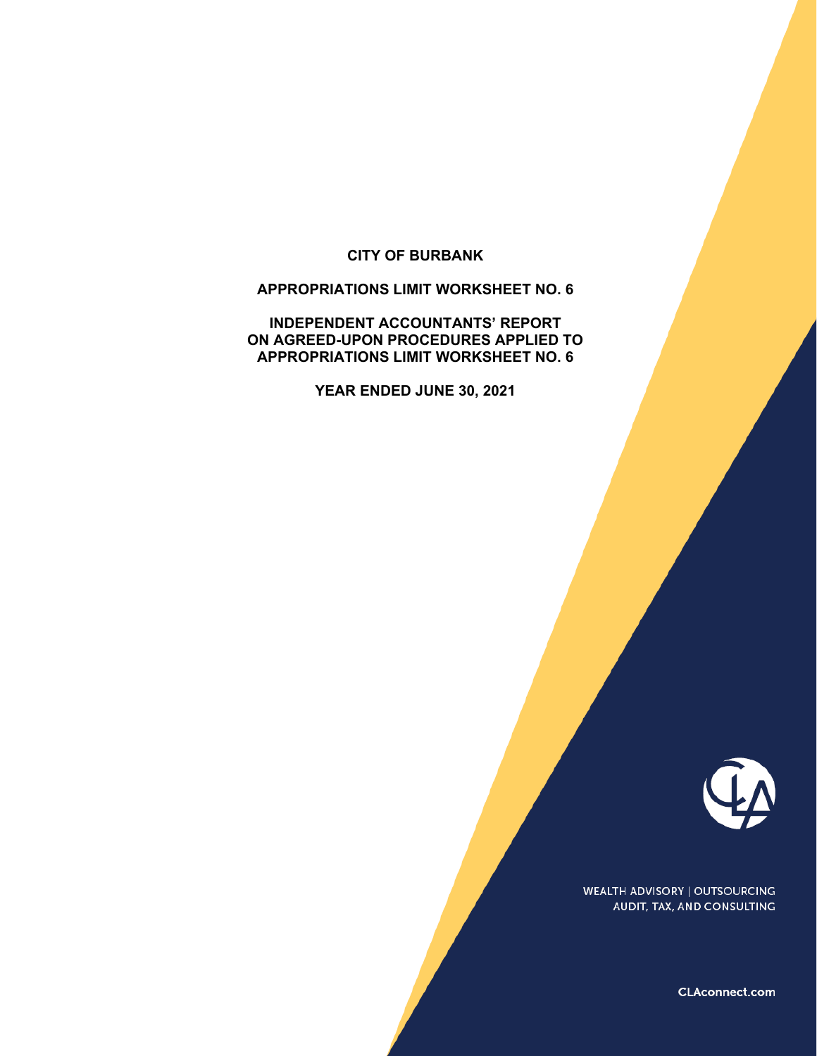#### **CITY OF BURBANK**

#### **APPROPRIATIONS LIMIT WORKSHEET NO. 6**

**INDEPENDENT ACCOUNTANTS' REPORT ON AGREED-UPON PROCEDURES APPLIED TO APPROPRIATIONS LIMIT WORKSHEET NO. 6** 

**YEAR ENDED JUNE 30, 2021** 



**WEALTH ADVISORY | OUTSOURCING** AUDIT, TAX, AND CONSULTING

CLAconnect.com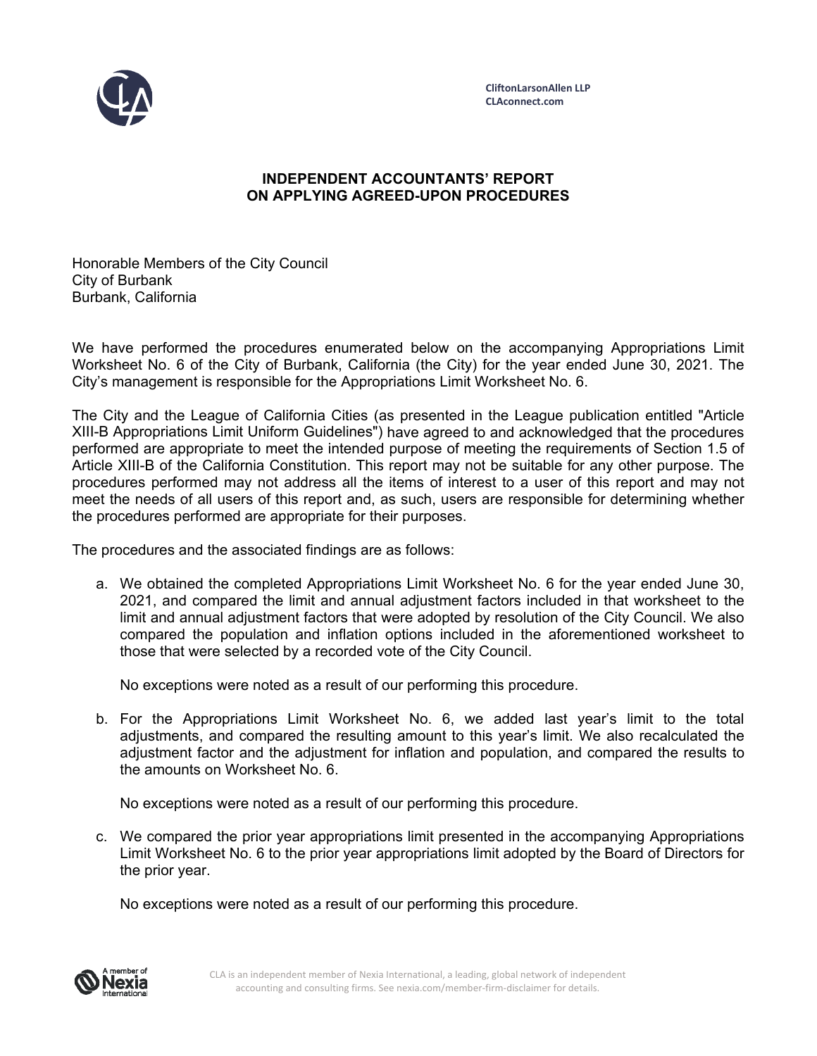

# **INDEPENDENT ACCOUNTANTS' REPORT ON APPLYING AGREED-UPON PROCEDURES**

Honorable Members of the City Council City of Burbank Burbank, California

We have performed the procedures enumerated below on the accompanying Appropriations Limit Worksheet No. 6 of the City of Burbank, California (the City) for the year ended June 30, 2021. The City's management is responsible for the Appropriations Limit Worksheet No. 6.

The City and the League of California Cities (as presented in the League publication entitled "Article XIII-B Appropriations Limit Uniform Guidelines") have agreed to and acknowledged that the procedures performed are appropriate to meet the intended purpose of meeting the requirements of Section 1.5 of Article XIII-B of the California Constitution. This report may not be suitable for any other purpose. The procedures performed may not address all the items of interest to a user of this report and may not meet the needs of all users of this report and, as such, users are responsible for determining whether the procedures performed are appropriate for their purposes.

The procedures and the associated findings are as follows:

a. We obtained the completed Appropriations Limit Worksheet No. 6 for the year ended June 30, 2021, and compared the limit and annual adjustment factors included in that worksheet to the limit and annual adjustment factors that were adopted by resolution of the City Council. We also compared the population and inflation options included in the aforementioned worksheet to those that were selected by a recorded vote of the City Council.

No exceptions were noted as a result of our performing this procedure.

b. For the Appropriations Limit Worksheet No. 6, we added last year's limit to the total adjustments, and compared the resulting amount to this year's limit. We also recalculated the adjustment factor and the adjustment for inflation and population, and compared the results to the amounts on Worksheet No. 6.

No exceptions were noted as a result of our performing this procedure.

c. We compared the prior year appropriations limit presented in the accompanying Appropriations Limit Worksheet No. 6 to the prior year appropriations limit adopted by the Board of Directors for the prior year.

No exceptions were noted as a result of our performing this procedure.

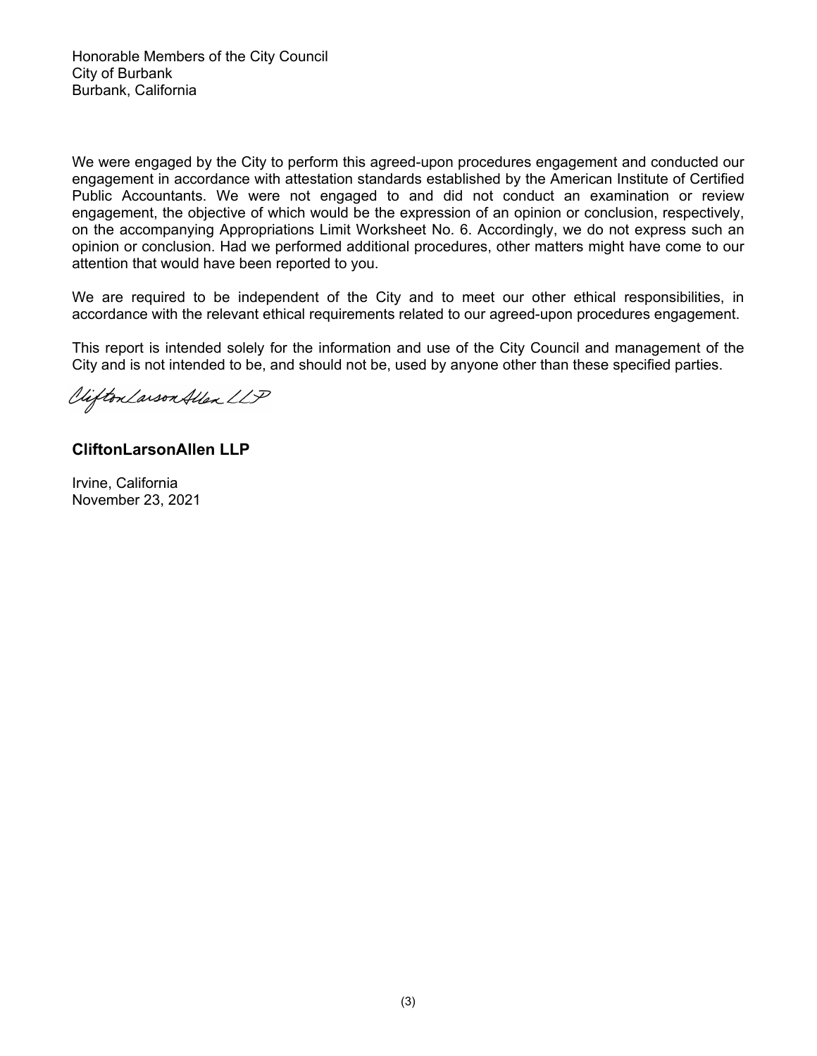We were engaged by the City to perform this agreed-upon procedures engagement and conducted our engagement in accordance with attestation standards established by the American Institute of Certified Public Accountants. We were not engaged to and did not conduct an examination or review engagement, the objective of which would be the expression of an opinion or conclusion, respectively, on the accompanying Appropriations Limit Worksheet No. 6. Accordingly, we do not express such an opinion or conclusion. Had we performed additional procedures, other matters might have come to our attention that would have been reported to you.

We are required to be independent of the City and to meet our other ethical responsibilities, in accordance with the relevant ethical requirements related to our agreed-upon procedures engagement.

This report is intended solely for the information and use of the City Council and management of the City and is not intended to be, and should not be, used by anyone other than these specified parties.

Viifton Larson Allen LLP

# **CliftonLarsonAllen LLP**

Irvine, California November 23, 2021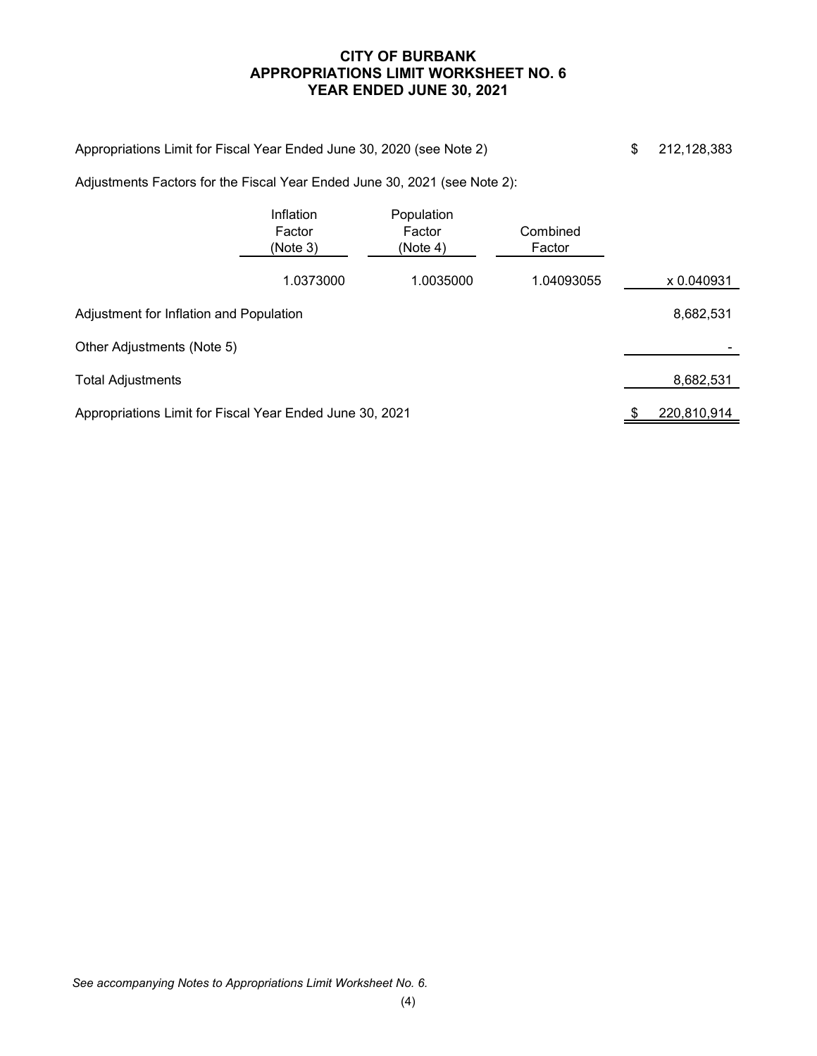# **CITY OF BURBANK APPROPRIATIONS LIMIT WORKSHEET NO. 6 YEAR ENDED JUNE 30, 2021**

| Appropriations Limit for Fiscal Year Ended June 30, 2020 (see Note 2)     |                                 |                                  |                    | \$ | 212, 128, 383 |
|---------------------------------------------------------------------------|---------------------------------|----------------------------------|--------------------|----|---------------|
| Adjustments Factors for the Fiscal Year Ended June 30, 2021 (see Note 2): |                                 |                                  |                    |    |               |
|                                                                           | Inflation<br>Factor<br>(Note 3) | Population<br>Factor<br>(Note 4) | Combined<br>Factor |    |               |
|                                                                           | 1.0373000                       | 1.0035000                        | 1.04093055         |    | x 0.040931    |
| Adjustment for Inflation and Population                                   |                                 |                                  |                    |    | 8,682,531     |
| Other Adjustments (Note 5)                                                |                                 |                                  |                    |    |               |
| <b>Total Adjustments</b>                                                  |                                 |                                  |                    |    | 8,682,531     |
| Appropriations Limit for Fiscal Year Ended June 30, 2021                  |                                 |                                  |                    |    | 220,810,914   |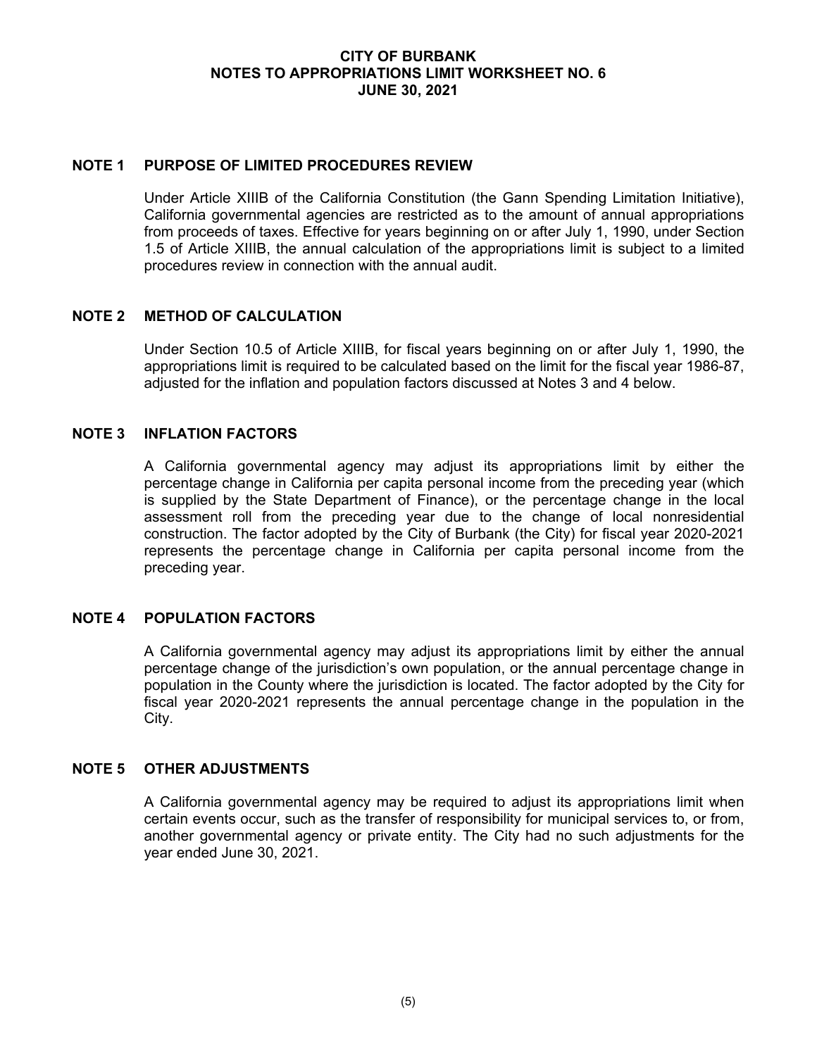## **CITY OF BURBANK NOTES TO APPROPRIATIONS LIMIT WORKSHEET NO. 6 JUNE 30, 2021**

#### **NOTE 1 PURPOSE OF LIMITED PROCEDURES REVIEW**

Under Article XIIIB of the California Constitution (the Gann Spending Limitation Initiative), California governmental agencies are restricted as to the amount of annual appropriations from proceeds of taxes. Effective for years beginning on or after July 1, 1990, under Section 1.5 of Article XIIIB, the annual calculation of the appropriations limit is subject to a limited procedures review in connection with the annual audit.

## **NOTE 2 METHOD OF CALCULATION**

Under Section 10.5 of Article XIIIB, for fiscal years beginning on or after July 1, 1990, the appropriations limit is required to be calculated based on the limit for the fiscal year 1986-87, adjusted for the inflation and population factors discussed at Notes 3 and 4 below.

## **NOTE 3 INFLATION FACTORS**

A California governmental agency may adjust its appropriations limit by either the percentage change in California per capita personal income from the preceding year (which is supplied by the State Department of Finance), or the percentage change in the local assessment roll from the preceding year due to the change of local nonresidential construction. The factor adopted by the City of Burbank (the City) for fiscal year 2020-2021 represents the percentage change in California per capita personal income from the preceding year.

## **NOTE 4 POPULATION FACTORS**

A California governmental agency may adjust its appropriations limit by either the annual percentage change of the jurisdiction's own population, or the annual percentage change in population in the County where the jurisdiction is located. The factor adopted by the City for fiscal year 2020-2021 represents the annual percentage change in the population in the City.

#### **NOTE 5 OTHER ADJUSTMENTS**

A California governmental agency may be required to adjust its appropriations limit when certain events occur, such as the transfer of responsibility for municipal services to, or from, another governmental agency or private entity. The City had no such adjustments for the year ended June 30, 2021.